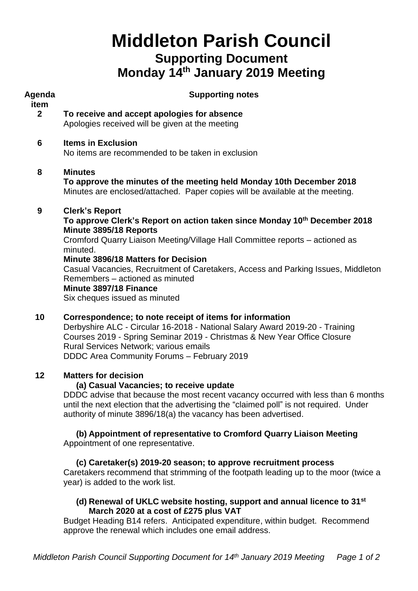# **Middleton Parish Council Supporting Document Monday 14 th January 2019 Meeting**

| Agenda                 | <b>Supporting notes</b>                                                                                                                                                                                                                                                                                                                                                                                                                            |  |  |
|------------------------|----------------------------------------------------------------------------------------------------------------------------------------------------------------------------------------------------------------------------------------------------------------------------------------------------------------------------------------------------------------------------------------------------------------------------------------------------|--|--|
| item<br>2 <sup>2</sup> | To receive and accept apologies for absence<br>Apologies received will be given at the meeting                                                                                                                                                                                                                                                                                                                                                     |  |  |
| 6                      | <b>Items in Exclusion</b><br>No items are recommended to be taken in exclusion                                                                                                                                                                                                                                                                                                                                                                     |  |  |
| 8                      | <b>Minutes</b><br>To approve the minutes of the meeting held Monday 10th December 2018<br>Minutes are enclosed/attached. Paper copies will be available at the meeting.                                                                                                                                                                                                                                                                            |  |  |
| 9                      | <b>Clerk's Report</b><br>To approve Clerk's Report on action taken since Monday 10th December 2018<br>Minute 3895/18 Reports<br>Cromford Quarry Liaison Meeting/Village Hall Committee reports - actioned as<br>minuted.<br>Minute 3896/18 Matters for Decision<br>Casual Vacancies, Recruitment of Caretakers, Access and Parking Issues, Middleton<br>Remembers - actioned as minuted<br>Minute 3897/18 Finance<br>Six cheques issued as minuted |  |  |
| 10                     | Correspondence; to note receipt of items for information<br>Derbyshire ALC - Circular 16-2018 - National Salary Award 2019-20 - Training<br>Courses 2019 - Spring Seminar 2019 - Christmas & New Year Office Closure<br>Rural Services Network; various emails<br>DDDC Area Community Forums - February 2019                                                                                                                                       |  |  |

## **12 Matters for decision**

## **(a) Casual Vacancies; to receive update**

DDDC advise that because the most recent vacancy occurred with less than 6 months until the next election that the advertising the "claimed poll" is not required. Under authority of minute 3896/18(a) the vacancy has been advertised.

#### **(b) Appointment of representative to Cromford Quarry Liaison Meeting** Appointment of one representative.

## **(c) Caretaker(s) 2019-20 season; to approve recruitment process**

Caretakers recommend that strimming of the footpath leading up to the moor (twice a year) is added to the work list.

## **(d) Renewal of UKLC website hosting, support and annual licence to 31st March 2020 at a cost of £275 plus VAT**

Budget Heading B14 refers. Anticipated expenditure, within budget. Recommend approve the renewal which includes one email address.